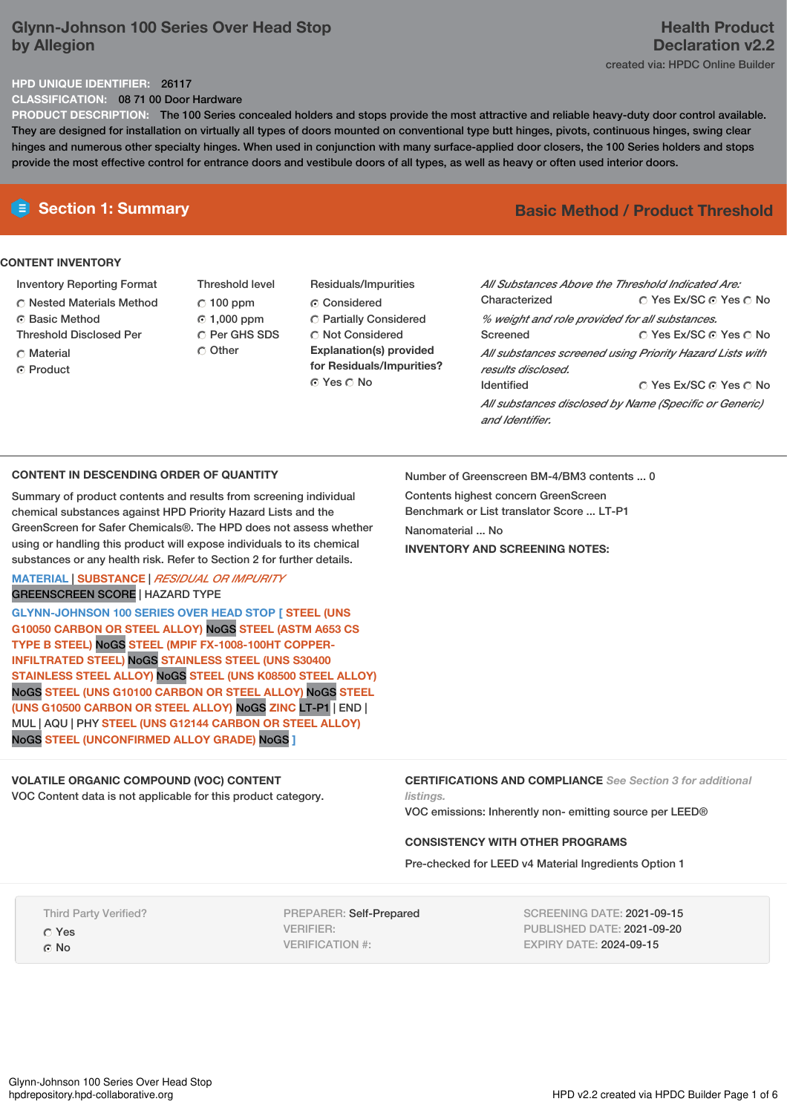# **Glynn-Johnson 100 Series Over Head Stop by Allegion**

### **Health Product Declaration v2.2** created via: HPDC Online Builder

#### **HPD UNIQUE IDENTIFIER:** 26117

**CLASSIFICATION:** 08 71 00 Door Hardware

**PRODUCT DESCRIPTION:** The 100 Series concealed holders and stops provide the most attractive and reliable heavy-duty door control available. They are designed for installation on virtually all types of doors mounted on conventional type butt hinges, pivots, continuous hinges, swing clear hinges and numerous other specialty hinges. When used in conjunction with many surface-applied door closers, the 100 Series holders and stops provide the most effective control for entrance doors and vestibule doors of all types, as well as heavy or often used interior doors.

## **CONTENT INVENTORY**

- Inventory Reporting Format
- Nested Materials Method
- **6** Basic Method Threshold Disclosed Per
- C Material
- ⊙ Product
- Threshold level  $C$  100 ppm 1,000 ppm C Per GHS SDS Other
- Residuals/Impurities Considered Partially Considered Not Considered **Explanation(s) provided for Residuals/Impurities?** ⊙ Yes O No

# **E** Section 1: Summary **Basic** Method / Product Threshold

| All Substances Above the Threshold Indicated Are:                              |                        |
|--------------------------------------------------------------------------------|------------------------|
| Characterized                                                                  | ∩ Yes Ex/SC ∩ Yes ∩ No |
| % weight and role provided for all substances.                                 |                        |
| Screened                                                                       | ∩ Yes Ex/SC ∩ Yes ∩ No |
| All substances screened using Priority Hazard Lists with<br>results disclosed. |                        |
| <b>Identified</b>                                                              | ○ Yes Ex/SC ⊙ Yes ○ No |
| All substances disclosed by Name (Specific or Generic)<br>and Identifier.      |                        |

#### **CONTENT IN DESCENDING ORDER OF QUANTITY**

Summary of product contents and results from screening individual chemical substances against HPD Priority Hazard Lists and the GreenScreen for Safer Chemicals®. The HPD does not assess whether using or handling this product will expose individuals to its chemical substances or any health risk. Refer to Section 2 for further details.

**MATERIAL** | **SUBSTANCE** | *RESIDUAL OR IMPURITY* GREENSCREEN SCORE | HAZARD TYPE

**GLYNN-JOHNSON 100 SERIES OVER HEAD STOP [ STEEL (UNS G10050 CARBON OR STEEL ALLOY)** NoGS **STEEL (ASTM A653 CS TYPE B STEEL)** NoGS **STEEL (MPIF FX-1008-100HT COPPER-INFILTRATED STEEL)** NoGS **STAINLESS STEEL (UNS S30400 STAINLESS STEEL ALLOY)** NoGS **STEEL (UNS K08500 STEEL ALLOY)** NoGS **STEEL (UNS G10100 CARBON OR STEEL ALLOY)** NoGS **STEEL (UNS G10500 CARBON OR STEEL ALLOY)** NoGS **ZINC** LT-P1 | END | MUL | AQU | PHY **STEEL (UNS G12144 CARBON OR STEEL ALLOY)** NoGS **STEEL (UNCONFIRMED ALLOY GRADE)** NoGS **]**

# **VOLATILE ORGANIC COMPOUND (VOC) CONTENT**

VOC Content data is not applicable for this product category.

Number of Greenscreen BM-4/BM3 contents ... 0 Contents highest concern GreenScreen Benchmark or List translator Score ... LT-P1 Nanomaterial ... No **INVENTORY AND SCREENING NOTES:**

```
CERTIFICATIONS AND COMPLIANCE See Section 3 for additional
listings.
```
VOC emissions: Inherently non- emitting source per LEED®

# **CONSISTENCY WITH OTHER PROGRAMS**

Pre-checked for LEED v4 Material Ingredients Option 1

Third Party Verified? Yes

 $\Omega$  No

PREPARER: Self-Prepared VERIFIER: VERIFICATION #:

SCREENING DATE: 2021-09-15 PUBLISHED DATE: 2021-09-20 EXPIRY DATE: 2024-09-15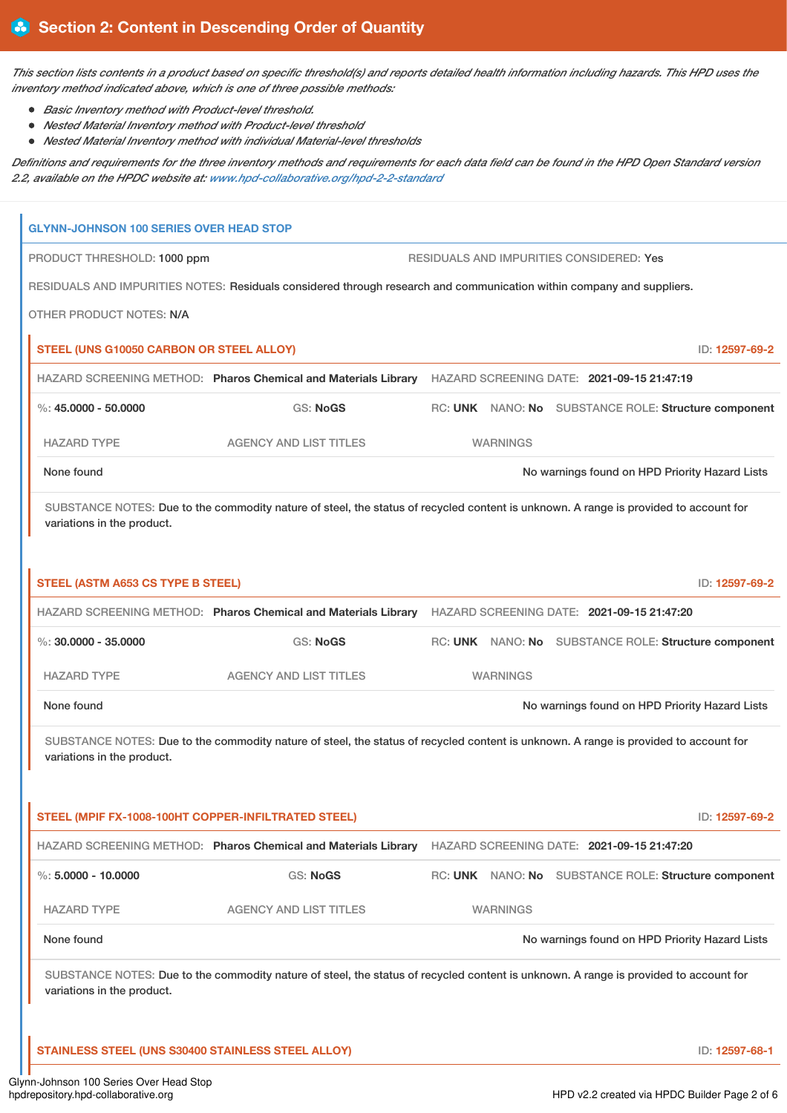This section lists contents in a product based on specific threshold(s) and reports detailed health information including hazards. This HPD uses the *inventory method indicated above, which is one of three possible methods:*

- *Basic Inventory method with Product-level threshold.*
- *Nested Material Inventory method with Product-level threshold*
- *Nested Material Inventory method with individual Material-level thresholds*

Definitions and requirements for the three inventory methods and requirements for each data field can be found in the HPD Open Standard version *2.2, available on the HPDC website at: [www.hpd-collaborative.org/hpd-2-2-standard](https://www.hpd-collaborative.org/hpd-2-2-standard)*

| PRODUCT THRESHOLD: 1000 ppm<br>RESIDUALS AND IMPURITIES CONSIDERED: Yes                                                                                            |                                                                                                                                                                                                                                                                                                                       |  |                                                       |                                                                                                                                                                                                                                                                                                                                                                                                                                                                                                                                                                                                                                                                                                                                                                                                                                                                     |
|--------------------------------------------------------------------------------------------------------------------------------------------------------------------|-----------------------------------------------------------------------------------------------------------------------------------------------------------------------------------------------------------------------------------------------------------------------------------------------------------------------|--|-------------------------------------------------------|---------------------------------------------------------------------------------------------------------------------------------------------------------------------------------------------------------------------------------------------------------------------------------------------------------------------------------------------------------------------------------------------------------------------------------------------------------------------------------------------------------------------------------------------------------------------------------------------------------------------------------------------------------------------------------------------------------------------------------------------------------------------------------------------------------------------------------------------------------------------|
|                                                                                                                                                                    |                                                                                                                                                                                                                                                                                                                       |  |                                                       |                                                                                                                                                                                                                                                                                                                                                                                                                                                                                                                                                                                                                                                                                                                                                                                                                                                                     |
|                                                                                                                                                                    |                                                                                                                                                                                                                                                                                                                       |  |                                                       |                                                                                                                                                                                                                                                                                                                                                                                                                                                                                                                                                                                                                                                                                                                                                                                                                                                                     |
|                                                                                                                                                                    |                                                                                                                                                                                                                                                                                                                       |  |                                                       | ID: 12597-69-2                                                                                                                                                                                                                                                                                                                                                                                                                                                                                                                                                                                                                                                                                                                                                                                                                                                      |
|                                                                                                                                                                    |                                                                                                                                                                                                                                                                                                                       |  |                                                       |                                                                                                                                                                                                                                                                                                                                                                                                                                                                                                                                                                                                                                                                                                                                                                                                                                                                     |
| <b>GS: NoGS</b>                                                                                                                                                    |                                                                                                                                                                                                                                                                                                                       |  |                                                       |                                                                                                                                                                                                                                                                                                                                                                                                                                                                                                                                                                                                                                                                                                                                                                                                                                                                     |
| <b>AGENCY AND LIST TITLES</b>                                                                                                                                      |                                                                                                                                                                                                                                                                                                                       |  |                                                       |                                                                                                                                                                                                                                                                                                                                                                                                                                                                                                                                                                                                                                                                                                                                                                                                                                                                     |
|                                                                                                                                                                    |                                                                                                                                                                                                                                                                                                                       |  |                                                       |                                                                                                                                                                                                                                                                                                                                                                                                                                                                                                                                                                                                                                                                                                                                                                                                                                                                     |
|                                                                                                                                                                    |                                                                                                                                                                                                                                                                                                                       |  |                                                       |                                                                                                                                                                                                                                                                                                                                                                                                                                                                                                                                                                                                                                                                                                                                                                                                                                                                     |
|                                                                                                                                                                    |                                                                                                                                                                                                                                                                                                                       |  |                                                       | ID: 12597-69-2                                                                                                                                                                                                                                                                                                                                                                                                                                                                                                                                                                                                                                                                                                                                                                                                                                                      |
|                                                                                                                                                                    |                                                                                                                                                                                                                                                                                                                       |  |                                                       |                                                                                                                                                                                                                                                                                                                                                                                                                                                                                                                                                                                                                                                                                                                                                                                                                                                                     |
| <b>GS: NoGS</b>                                                                                                                                                    |                                                                                                                                                                                                                                                                                                                       |  |                                                       |                                                                                                                                                                                                                                                                                                                                                                                                                                                                                                                                                                                                                                                                                                                                                                                                                                                                     |
| <b>AGENCY AND LIST TITLES</b>                                                                                                                                      |                                                                                                                                                                                                                                                                                                                       |  |                                                       |                                                                                                                                                                                                                                                                                                                                                                                                                                                                                                                                                                                                                                                                                                                                                                                                                                                                     |
|                                                                                                                                                                    |                                                                                                                                                                                                                                                                                                                       |  |                                                       |                                                                                                                                                                                                                                                                                                                                                                                                                                                                                                                                                                                                                                                                                                                                                                                                                                                                     |
| SUBSTANCE NOTES: Due to the commodity nature of steel, the status of recycled content is unknown. A range is provided to account for<br>variations in the product. |                                                                                                                                                                                                                                                                                                                       |  |                                                       |                                                                                                                                                                                                                                                                                                                                                                                                                                                                                                                                                                                                                                                                                                                                                                                                                                                                     |
|                                                                                                                                                                    |                                                                                                                                                                                                                                                                                                                       |  |                                                       | ID: 12597-69-2                                                                                                                                                                                                                                                                                                                                                                                                                                                                                                                                                                                                                                                                                                                                                                                                                                                      |
|                                                                                                                                                                    |                                                                                                                                                                                                                                                                                                                       |  |                                                       |                                                                                                                                                                                                                                                                                                                                                                                                                                                                                                                                                                                                                                                                                                                                                                                                                                                                     |
| <b>GS: NoGS</b>                                                                                                                                                    |                                                                                                                                                                                                                                                                                                                       |  |                                                       |                                                                                                                                                                                                                                                                                                                                                                                                                                                                                                                                                                                                                                                                                                                                                                                                                                                                     |
| <b>AGENCY AND LIST TITLES</b>                                                                                                                                      |                                                                                                                                                                                                                                                                                                                       |  |                                                       |                                                                                                                                                                                                                                                                                                                                                                                                                                                                                                                                                                                                                                                                                                                                                                                                                                                                     |
|                                                                                                                                                                    |                                                                                                                                                                                                                                                                                                                       |  |                                                       |                                                                                                                                                                                                                                                                                                                                                                                                                                                                                                                                                                                                                                                                                                                                                                                                                                                                     |
| SUBSTANCE NOTES: Due to the commodity nature of steel, the status of recycled content is unknown. A range is provided to account for<br>variations in the product. |                                                                                                                                                                                                                                                                                                                       |  |                                                       |                                                                                                                                                                                                                                                                                                                                                                                                                                                                                                                                                                                                                                                                                                                                                                                                                                                                     |
|                                                                                                                                                                    |                                                                                                                                                                                                                                                                                                                       |  |                                                       | ID: 12597-68-1                                                                                                                                                                                                                                                                                                                                                                                                                                                                                                                                                                                                                                                                                                                                                                                                                                                      |
|                                                                                                                                                                    | <b>GLYNN-JOHNSON 100 SERIES OVER HEAD STOP</b><br>STEEL (UNS G10050 CARBON OR STEEL ALLOY)<br><b>STEEL (ASTM A653 CS TYPE B STEEL)</b><br>STEEL (MPIF FX-1008-100HT COPPER-INFILTRATED STEEL)<br>HAZARD SCREENING METHOD: Pharos Chemical and Materials Library<br>STAINLESS STEEL (UNS S30400 STAINLESS STEEL ALLOY) |  | <b>WARNINGS</b><br><b>WARNINGS</b><br><b>WARNINGS</b> | RESIDUALS AND IMPURITIES NOTES: Residuals considered through research and communication within company and suppliers.<br>HAZARD SCREENING METHOD: Pharos Chemical and Materials Library HAZARD SCREENING DATE: 2021-09-15 21:47:19<br>RC: UNK NANO: No SUBSTANCE ROLE: Structure component<br>No warnings found on HPD Priority Hazard Lists<br>SUBSTANCE NOTES: Due to the commodity nature of steel, the status of recycled content is unknown. A range is provided to account for<br>HAZARD SCREENING METHOD: Pharos Chemical and Materials Library HAZARD SCREENING DATE: 2021-09-15 21:47:20<br>RC: UNK NANO: No SUBSTANCE ROLE: Structure component<br>No warnings found on HPD Priority Hazard Lists<br>HAZARD SCREENING DATE: 2021-09-15 21:47:20<br>RC: UNK NANO: No SUBSTANCE ROLE: Structure component<br>No warnings found on HPD Priority Hazard Lists |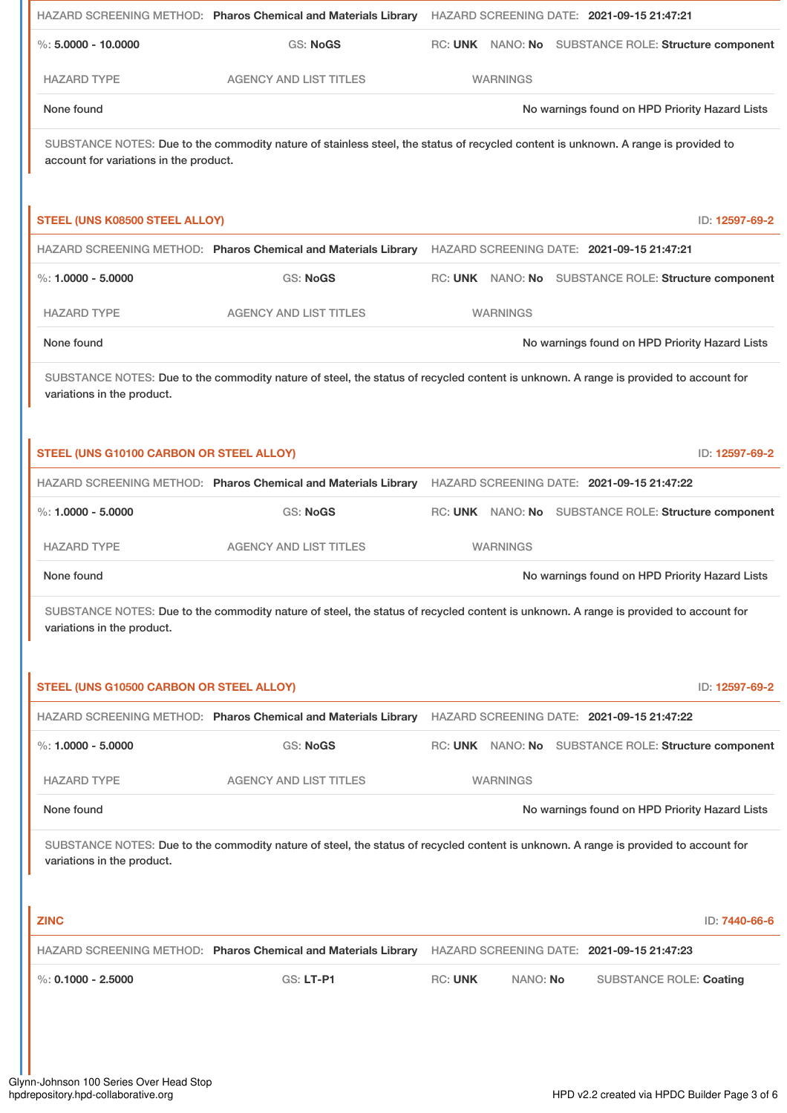|                                                                                                                                                                    |                                                                | HAZARD SCREENING METHOD: Pharos Chemical and Materials Library HAZARD SCREENING DATE: 2021-09-15 21:47:21                            |  |  |
|--------------------------------------------------------------------------------------------------------------------------------------------------------------------|----------------------------------------------------------------|--------------------------------------------------------------------------------------------------------------------------------------|--|--|
| $\%$ : 5,0000 - 10,0000                                                                                                                                            | <b>GS: NoGS</b>                                                | RC: UNK NANO: No SUBSTANCE ROLE: Structure component                                                                                 |  |  |
| <b>HAZARD TYPE</b>                                                                                                                                                 | <b>AGENCY AND LIST TITLES</b>                                  | <b>WARNINGS</b>                                                                                                                      |  |  |
| None found                                                                                                                                                         |                                                                | No warnings found on HPD Priority Hazard Lists                                                                                       |  |  |
| account for variations in the product.                                                                                                                             |                                                                | SUBSTANCE NOTES: Due to the commodity nature of stainless steel, the status of recycled content is unknown. A range is provided to   |  |  |
| STEEL (UNS K08500 STEEL ALLOY)                                                                                                                                     |                                                                | ID: 12597-69-2                                                                                                                       |  |  |
|                                                                                                                                                                    |                                                                | HAZARD SCREENING METHOD: Pharos Chemical and Materials Library HAZARD SCREENING DATE: 2021-09-15 21:47:21                            |  |  |
| $\%: 1.0000 - 5.0000$                                                                                                                                              | <b>GS: NoGS</b>                                                | RC: UNK NANO: No SUBSTANCE ROLE: Structure component                                                                                 |  |  |
| <b>HAZARD TYPE</b>                                                                                                                                                 | <b>AGENCY AND LIST TITLES</b>                                  | <b>WARNINGS</b>                                                                                                                      |  |  |
| None found                                                                                                                                                         |                                                                | No warnings found on HPD Priority Hazard Lists                                                                                       |  |  |
| SUBSTANCE NOTES: Due to the commodity nature of steel, the status of recycled content is unknown. A range is provided to account for<br>variations in the product. |                                                                |                                                                                                                                      |  |  |
| STEEL (UNS G10100 CARBON OR STEEL ALLOY)                                                                                                                           |                                                                | ID: 12597-69-2                                                                                                                       |  |  |
|                                                                                                                                                                    |                                                                | HAZARD SCREENING METHOD: Pharos Chemical and Materials Library HAZARD SCREENING DATE: 2021-09-15 21:47:22                            |  |  |
| %: $1.0000 - 5.0000$                                                                                                                                               | <b>GS: NoGS</b>                                                | RC: UNK NANO: No SUBSTANCE ROLE: Structure component                                                                                 |  |  |
| <b>HAZARD TYPE</b>                                                                                                                                                 | <b>AGENCY AND LIST TITLES</b>                                  | <b>WARNINGS</b>                                                                                                                      |  |  |
| None found                                                                                                                                                         |                                                                | No warnings found on HPD Priority Hazard Lists                                                                                       |  |  |
| SUBSTANCE NOTES: Due to the commodity nature of steel, the status of recycled content is unknown. A range is provided to account for<br>variations in the product. |                                                                |                                                                                                                                      |  |  |
| STEEL (UNS G10500 CARBON OR STEEL ALLOY)                                                                                                                           |                                                                | ID: 12597-69-2                                                                                                                       |  |  |
|                                                                                                                                                                    | HAZARD SCREENING METHOD: Pharos Chemical and Materials Library | HAZARD SCREENING DATE: 2021-09-15 21:47:22                                                                                           |  |  |
| %: $1.0000 - 5.0000$                                                                                                                                               | <b>GS: NoGS</b>                                                | RC: UNK NANO: No SUBSTANCE ROLE: Structure component                                                                                 |  |  |
| <b>HAZARD TYPE</b>                                                                                                                                                 | <b>AGENCY AND LIST TITLES</b>                                  | <b>WARNINGS</b>                                                                                                                      |  |  |
| None found                                                                                                                                                         |                                                                | No warnings found on HPD Priority Hazard Lists                                                                                       |  |  |
| variations in the product.                                                                                                                                         |                                                                | SUBSTANCE NOTES: Due to the commodity nature of steel, the status of recycled content is unknown. A range is provided to account for |  |  |
| <b>ZINC</b>                                                                                                                                                        |                                                                | ID: 7440-66-6                                                                                                                        |  |  |
|                                                                                                                                                                    | HAZARD SCREENING METHOD: Pharos Chemical and Materials Library | HAZARD SCREENING DATE: 2021-09-15 21:47:23                                                                                           |  |  |
| $\%$ : 0.1000 - 2.5000                                                                                                                                             | <b>GS: LT-P1</b>                                               | <b>RC: UNK</b><br>NANO: No<br><b>SUBSTANCE ROLE: Coating</b>                                                                         |  |  |
|                                                                                                                                                                    |                                                                |                                                                                                                                      |  |  |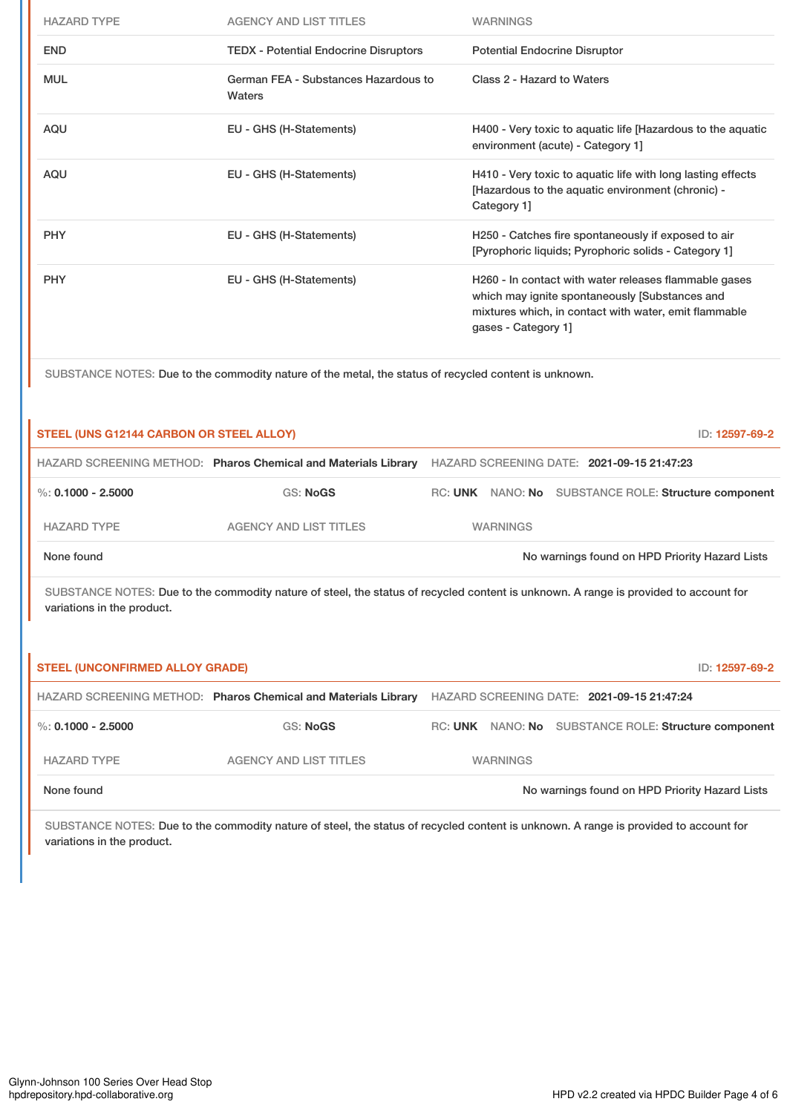| <b>HAZARD TYPE</b> | <b>AGENCY AND LIST TITLES</b>                  | <b>WARNINGS</b>                                                                                                                                                                         |
|--------------------|------------------------------------------------|-----------------------------------------------------------------------------------------------------------------------------------------------------------------------------------------|
| <b>END</b>         | <b>TEDX</b> - Potential Endocrine Disruptors   | <b>Potential Endocrine Disruptor</b>                                                                                                                                                    |
| <b>MUL</b>         | German FEA - Substances Hazardous to<br>Waters | Class 2 - Hazard to Waters                                                                                                                                                              |
| <b>AQU</b>         | EU - GHS (H-Statements)                        | H400 - Very toxic to aquatic life [Hazardous to the aquatic<br>environment (acute) - Category 1]                                                                                        |
| <b>AQU</b>         | EU - GHS (H-Statements)                        | H410 - Very toxic to aquatic life with long lasting effects<br>[Hazardous to the aquatic environment (chronic) -<br>Category 1]                                                         |
| <b>PHY</b>         | EU - GHS (H-Statements)                        | H250 - Catches fire spontaneously if exposed to air<br>[Pyrophoric liquids; Pyrophoric solids - Category 1]                                                                             |
| <b>PHY</b>         | EU - GHS (H-Statements)                        | H260 - In contact with water releases flammable gases<br>which may ignite spontaneously [Substances and<br>mixtures which, in contact with water, emit flammable<br>gases - Category 1] |

SUBSTANCE NOTES: Due to the commodity nature of the metal, the status of recycled content is unknown.

| STEEL (UNS G12144 CARBON OR STEEL ALLOY)<br>ID: 12597-69-2                                                                                                         |                                                                |  |                 |                                                      |  |
|--------------------------------------------------------------------------------------------------------------------------------------------------------------------|----------------------------------------------------------------|--|-----------------|------------------------------------------------------|--|
|                                                                                                                                                                    | HAZARD SCREENING METHOD: Pharos Chemical and Materials Library |  |                 | HAZARD SCREENING DATE: 2021-09-15 21:47:23           |  |
| %: $0.1000 - 2.5000$                                                                                                                                               | GS: NoGS                                                       |  |                 | RC: UNK NANO: No SUBSTANCE ROLE: Structure component |  |
| <b>HAZARD TYPE</b>                                                                                                                                                 | <b>AGENCY AND LIST TITLES</b>                                  |  | <b>WARNINGS</b> |                                                      |  |
| None found                                                                                                                                                         |                                                                |  |                 | No warnings found on HPD Priority Hazard Lists       |  |
| SUBSTANCE NOTES: Due to the commodity nature of steel, the status of recycled content is unknown. A range is provided to account for<br>variations in the product. |                                                                |  |                 |                                                      |  |

| <b>STEEL (UNCONFIRMED ALLOY GRADE)</b> |                                                                |                                            |                 |  | ID: 12597-69-2                                       |  |
|----------------------------------------|----------------------------------------------------------------|--------------------------------------------|-----------------|--|------------------------------------------------------|--|
|                                        | HAZARD SCREENING METHOD: Pharos Chemical and Materials Library | HAZARD SCREENING DATE: 2021-09-15 21:47:24 |                 |  |                                                      |  |
| %: 0.1000 - 2.5000                     | GS: NoGS                                                       |                                            |                 |  | RC: UNK NANO: No SUBSTANCE ROLE: Structure component |  |
| <b>HAZARD TYPE</b>                     | <b>AGENCY AND LIST TITLES</b>                                  |                                            | <b>WARNINGS</b> |  |                                                      |  |
| None found                             |                                                                |                                            |                 |  | No warnings found on HPD Priority Hazard Lists       |  |

SUBSTANCE NOTES: Due to the commodity nature of steel, the status of recycled content is unknown. A range is provided to account for variations in the product.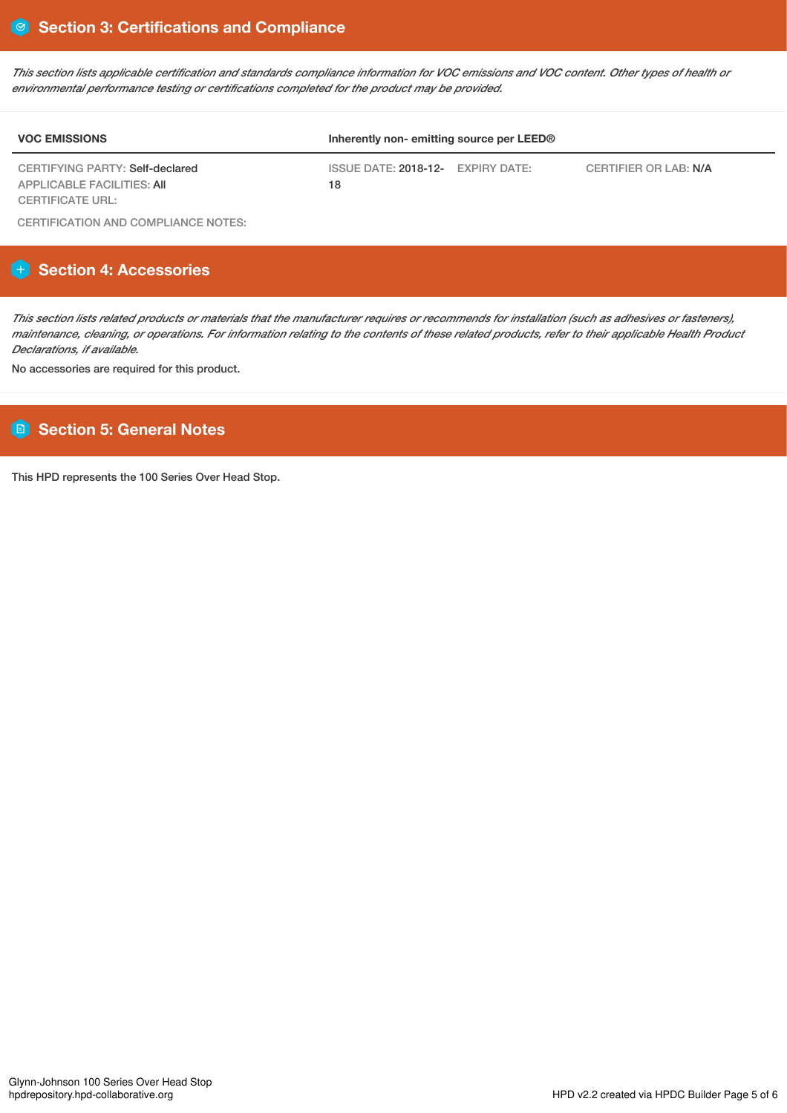This section lists applicable certification and standards compliance information for VOC emissions and VOC content. Other types of health or *environmental performance testing or certifications completed for the product may be provided.*

| <b>VOC EMISSIONS</b>                                                 | Inherently non-emitting source per LEED® |                       |  |  |
|----------------------------------------------------------------------|------------------------------------------|-----------------------|--|--|
| CERTIFYING PARTY: Self-declared<br><b>APPLICABLE FACILITIES: AII</b> | ISSUE DATE: 2018-12- EXPIRY DATE:<br>18  | CERTIFIER OR LAB: N/A |  |  |
| <b>CERTIFICATE URL:</b>                                              |                                          |                       |  |  |

CERTIFICATION AND COMPLIANCE NOTES:

## **Section 4: Accessories**

This section lists related products or materials that the manufacturer requires or recommends for installation (such as adhesives or fasteners), maintenance, cleaning, or operations. For information relating to the contents of these related products, refer to their applicable Health Product *Declarations, if available.*

No accessories are required for this product.

# **Section 5: General Notes**

This HPD represents the 100 Series Over Head Stop.